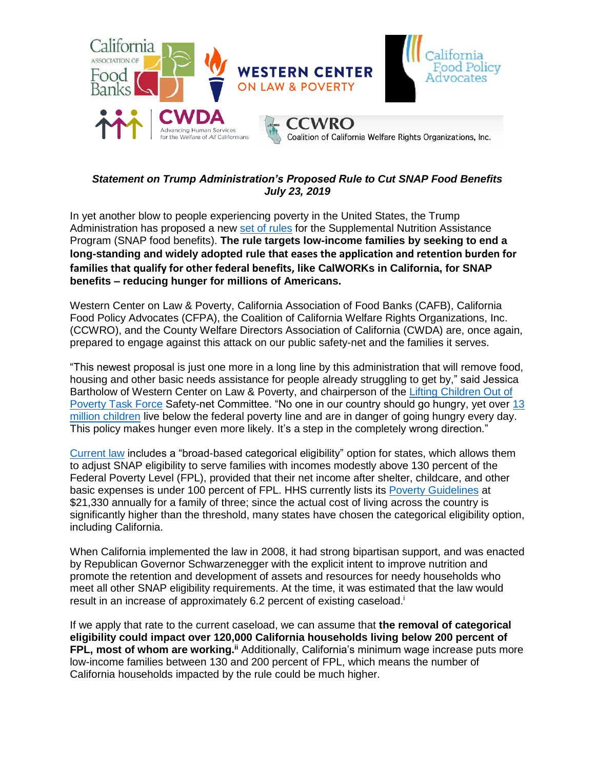

# *Statement on Trump Administration's Proposed Rule to Cut SNAP Food Benefits July 23, 2019*

In yet another blow to people experiencing poverty in the United States, the Trump Administration has proposed a new [set of](https://www.fns.usda.gov/snap/fr-072419) rules for the Supplemental Nutrition Assistance Program (SNAP food benefits). **The rule targets low-income families by seeking to end a long-standing and widely adopted rule that eases the application and retention burden for families that qualify for other federal benefits, like CalWORKs in California, for SNAP benefits – reducing hunger for millions of Americans.**

Western Center on Law & Poverty, California Association of Food Banks (CAFB), California Food Policy Advocates (CFPA), the Coalition of California Welfare Rights Organizations, Inc. (CCWRO), and the County Welfare Directors Association of California (CWDA) are, once again, prepared to engage against this attack on our public safety-net and the families it serves.

"This newest proposal is just one more in a long line by this administration that will remove food, housing and other basic needs assistance for people already struggling to get by," said Jessica Bartholow of Western Center on Law & Poverty, and chairperson of the [Lifting Children Out of](http://www.cdss.ca.gov/inforesources/CDSS-Programs/Poverty-Task-Force)  [Poverty Task Force](http://www.cdss.ca.gov/inforesources/CDSS-Programs/Poverty-Task-Force) Safety-net Committee. "No one in our country should go hungry, yet over [13](https://www.aecf.org/m/databook/2019KC_profile_CA.pdf)  [million children](https://www.aecf.org/m/databook/2019KC_profile_CA.pdf) live below the federal poverty line and are in danger of going hungry every day. This policy makes hunger even more likely. It's a step in the completely wrong direction."

[Current law](https://www.federalregister.gov/documents/2018/01/18/2018-00814/annual-update-of-the-hhs-poverty-guidelines) includes a "broad-based categorical eligibility" option for states, which allows them to adjust SNAP eligibility to serve families with incomes modestly above 130 percent of the Federal Poverty Level (FPL), provided that their net income after shelter, childcare, and other basic expenses is under 100 percent of FPL. HHS currently lists its [Poverty Guidelines](https://aspe.hhs.gov/poverty-guidelines) at \$21,330 annually for a family of three; since the actual cost of living across the country is significantly higher than the threshold, many states have chosen the categorical eligibility option, including California.

When California implemented the law in 2008, it had strong bipartisan support, and was enacted by Republican Governor Schwarzenegger with the explicit intent to improve nutrition and promote the retention and development of assets and resources for needy households who meet all other SNAP eligibility requirements. At the time, it was estimated that the law would result in an increase of approximately 6.2 percent of existing caseload.<sup>i</sup>

If we apply that rate to the current caseload, we can assume that **the removal of categorical eligibility could impact over 120,000 California households living below 200 percent of FPL, most of whom are working.ii** Additionally, California's minimum wage increase puts more low-income families between 130 and 200 percent of FPL, which means the number of California households impacted by the rule could be much higher.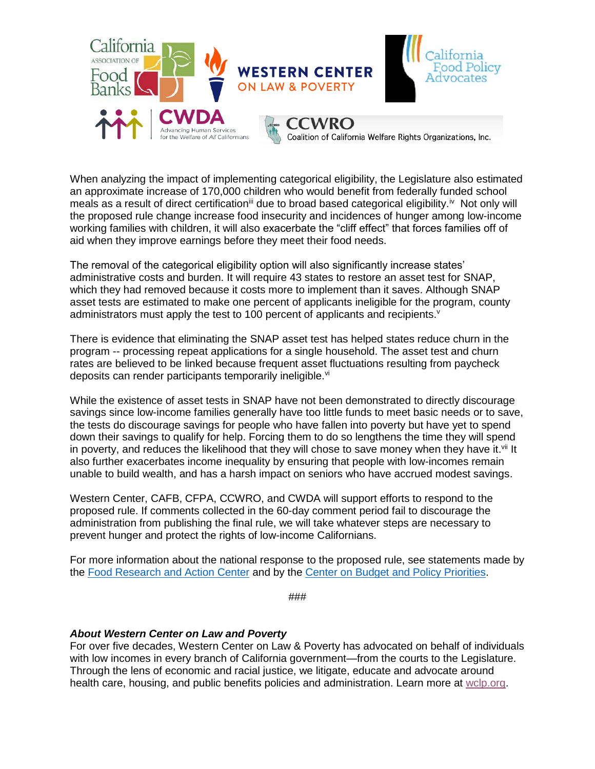

When analyzing the impact of implementing categorical eligibility, the Legislature also estimated an approximate increase of 170,000 children who would benefit from federally funded school meals as a result of direct certification<sup>iii</sup> due to broad based categorical eligibility.<sup>iv</sup> Not only will the proposed rule change increase food insecurity and incidences of hunger among low-income working families with children, it will also exacerbate the "cliff effect" that forces families off of aid when they improve earnings before they meet their food needs.

The removal of the categorical eligibility option will also significantly increase states' administrative costs and burden. It will require 43 states to restore an asset test for SNAP, which they had removed because it costs more to implement than it saves. Although SNAP asset tests are estimated to make one percent of applicants ineligible for the program, county administrators must apply the test to 100 percent of applicants and recipients.<sup>v</sup>

There is evidence that eliminating the SNAP asset test has helped states reduce churn in the program -- processing repeat applications for a single household. The asset test and churn rates are believed to be linked because frequent asset fluctuations resulting from paycheck deposits can render participants temporarily ineligible.<sup>vi</sup>

While the existence of asset tests in SNAP have not been demonstrated to directly discourage savings since low-income families generally have too little funds to meet basic needs or to save, the tests do discourage savings for people who have fallen into poverty but have yet to spend down their savings to qualify for help. Forcing them to do so lengthens the time they will spend in poverty, and reduces the likelihood that they will chose to save money when they have it.<sup>vii</sup> It also further exacerbates income inequality by ensuring that people with low-incomes remain unable to build wealth, and has a harsh impact on seniors who have accrued modest savings.

Western Center, CAFB, CFPA, CCWRO, and CWDA will support efforts to respond to the proposed rule. If comments collected in the 60-day comment period fail to discourage the administration from publishing the final rule, we will take whatever steps are necessary to prevent hunger and protect the rights of low-income Californians.

For more information about the national response to the proposed rule, see statements made by the [Food Research and Action Center](https://frac.org/news/trump-administrations-latest-attack-on-struggling-americans-would-spike-hunger-for-3-million-people?eType=EmailBlastContent&eId=8ea27a3c-e341-489d-8219-8ab17d224c20) and by the [Center on Budget and Policy Priorities.](https://www.cbpp.org/press/statements/misguided-trump-administration-rule-would-take-basic-food-assistance-from-working)

*###*

### *About Western Center on Law and Poverty*

For over five decades, Western Center on Law & Poverty has advocated on behalf of individuals with low incomes in every branch of California government—from the courts to the Legislature. Through the lens of economic and racial justice, we litigate, educate and advocate around health care, housing, and public benefits policies and administration. Learn more at [wclp.org.](http://www.wclp.org/)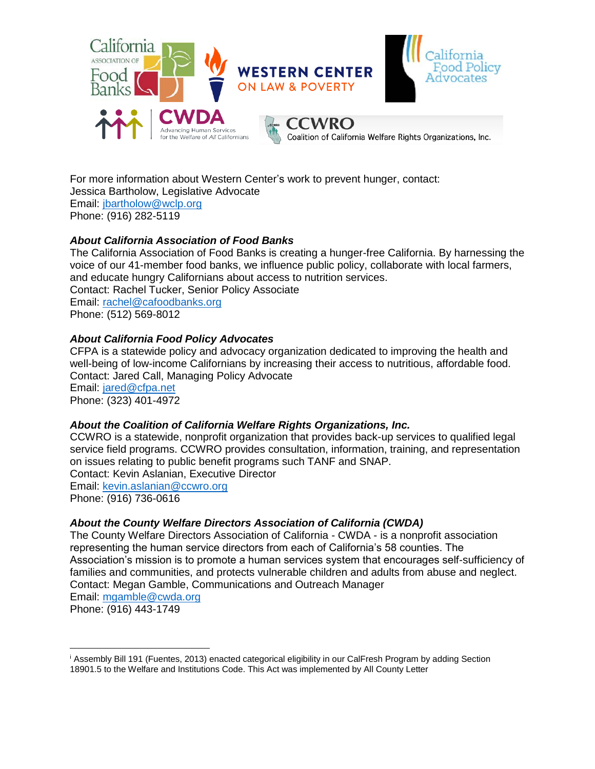

For more information about Western Center's work to prevent hunger, contact: Jessica Bartholow, Legislative Advocate Email: [jbartholow@wclp.org](mailto:jbartholow@wclp.org) Phone: (916) 282-5119

## *About California Association of Food Banks*

The California Association of Food Banks is creating a hunger-free California. By harnessing the voice of our 41-member food banks, we influence public policy, collaborate with local farmers, and educate hungry Californians about access to nutrition services. Contact: Rachel Tucker, Senior Policy Associate Email: [rachel@cafoodbanks.org](mailto:rachel@cafoodbanks.org) Phone: (512) 569-8012

## *About California Food Policy Advocates*

CFPA is a statewide policy and advocacy organization dedicated to improving the health and well-being of low-income Californians by increasing their access to nutritious, affordable food. Contact: Jared Call, Managing Policy Advocate Email: [jared@cfpa.net](mailto:jared@cfpa.net) Phone: (323) 401-4972

### *About the Coalition of California Welfare Rights Organizations, Inc.*

CCWRO is a statewide, nonprofit organization that provides back-up services to qualified legal service field programs. CCWRO provides consultation, information, training, and representation on issues relating to public benefit programs such TANF and SNAP. Contact: Kevin Aslanian, Executive Director Email: [kevin.aslanian@ccwro.org](mailto:kevin.aslanian@ccwro.org) Phone: (916) 736-0616

### *About the County Welfare Directors Association of California (CWDA)*

The County Welfare Directors Association of California - CWDA - is a nonprofit association representing the human service directors from each of California's 58 counties. The Association's mission is to promote a human services system that encourages self-sufficiency of families and communities, and protects vulnerable children and adults from abuse and neglect. Contact: Megan Gamble, Communications and Outreach Manager

```
Email: mgamble@cwda.org
```
Phone: (916) 443-1749

<sup>i</sup> Assembly Bill 191 (Fuentes, 2013) enacted categorical eligibility in our CalFresh Program by adding Section  $\overline{a}$ 

<sup>18901.5</sup> to the Welfare and Institutions Code. This Act was implemented by All County Letter